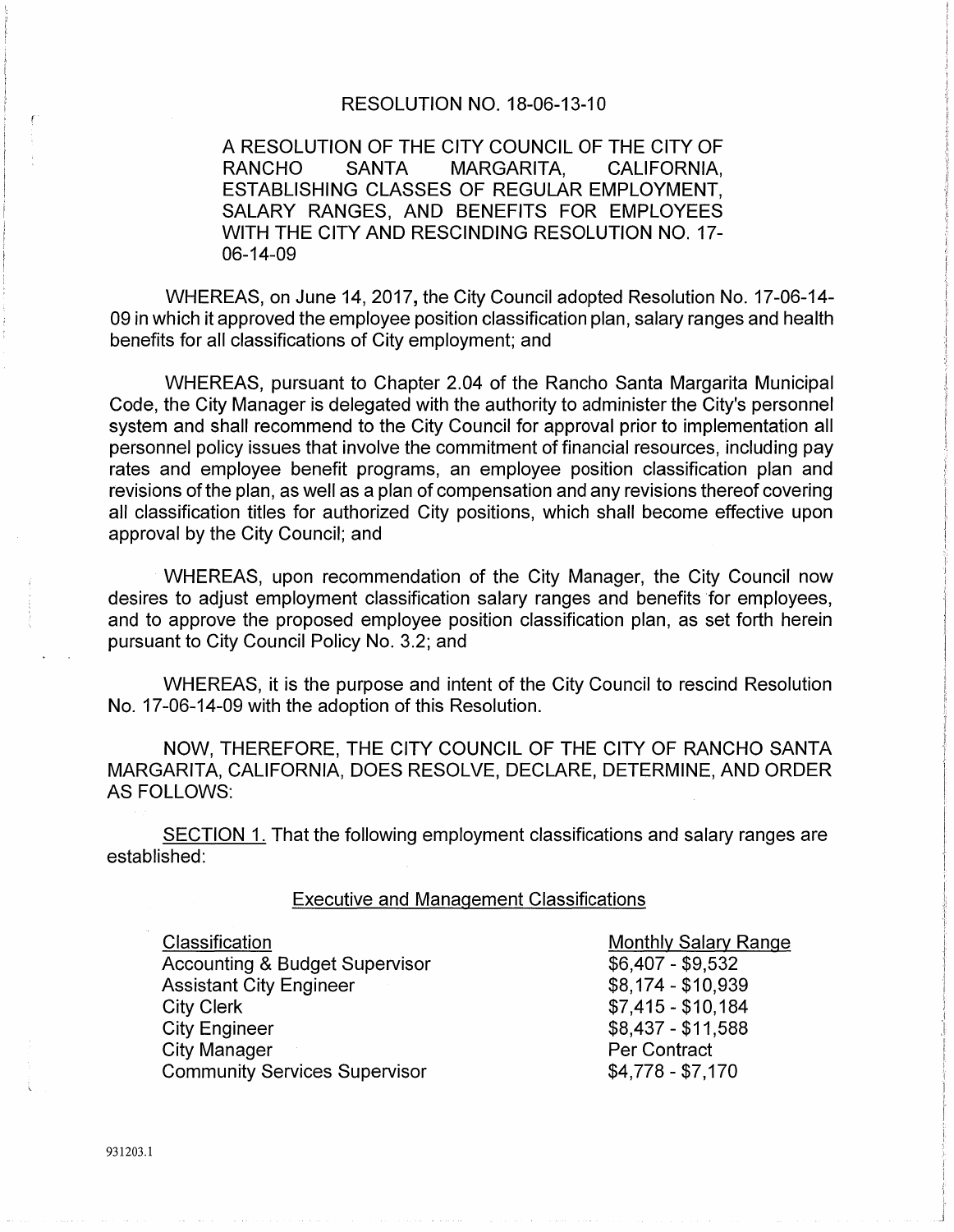#### RESOLUTION NO. 18-06-13-10

A RESOLUTION OF THE CITY COUNCIL OF THE CITY OF RANCHO SANTA MARGARITA, CALIFORNIA, ESTABLISHING CLASSES OF REGULAR EMPLOYMENT, SALARY RANGES, AND BENEFITS FOR EMPLOYEES WITH THE CITY AND RESCINDING RESOLUTION NO. 17- 06-14-09

WHEREAS, on June 14, 2017, the City Council adopted Resolution No. 17-06-14- 09 in which it approved the employee position classification plan, salary ranges and health benefits for all classifications of City employment; and

WHEREAS, pursuant to Chapter 2.04 of the Rancho Santa Margarita Municipal Code, the City Manager is delegated with the authority to administer the City's personnel system and shall recommend to the City Council for approval prior to implementation all personnel policy issues that involve the commitment of financial resources, including pay rates and employee benefit programs, an employee position classification plan and revisions of the plan, as well as a plan of compensation and any revisions thereof covering all classification titles for authorized City positions, which shall become effective upon approval by the City Council; and

WHEREAS, upon recommendation of the City Manager, the City Council now desires to adjust employment classification salary ranges and benefits for employees, and to approve the proposed employee position classification plan, as set forth herein pursuant to City Council Policy No. 3.2; and

WHEREAS, it is the purpose and intent of the City Council to rescind Resolution No. 17-06-14-09 with the adoption of this Resolution.

NOW, THEREFORE, THE CITY COUNCIL OF THE CITY OF RANCHO SANTA MARGARITA, CALIFORNIA, DOES RESOLVE, DECLARE, DETERMINE, AND ORDER AS FOLLOWS:

SECTION 1. That the following employment classifications and salary ranges are established:

#### Executive and Management Classifications

**Classification** Accounting & Budget Supervisor Assistant City Engineer City Clerk City Engineer City Manager Community Services Supervisor

Monthly Salary Range \$6,407 - \$9,532 \$8,174-\$10,939 \$7,415-\$10,184 \$8,437 - \$11 ,588 Per Contract \$4,778- \$7,170

931203.1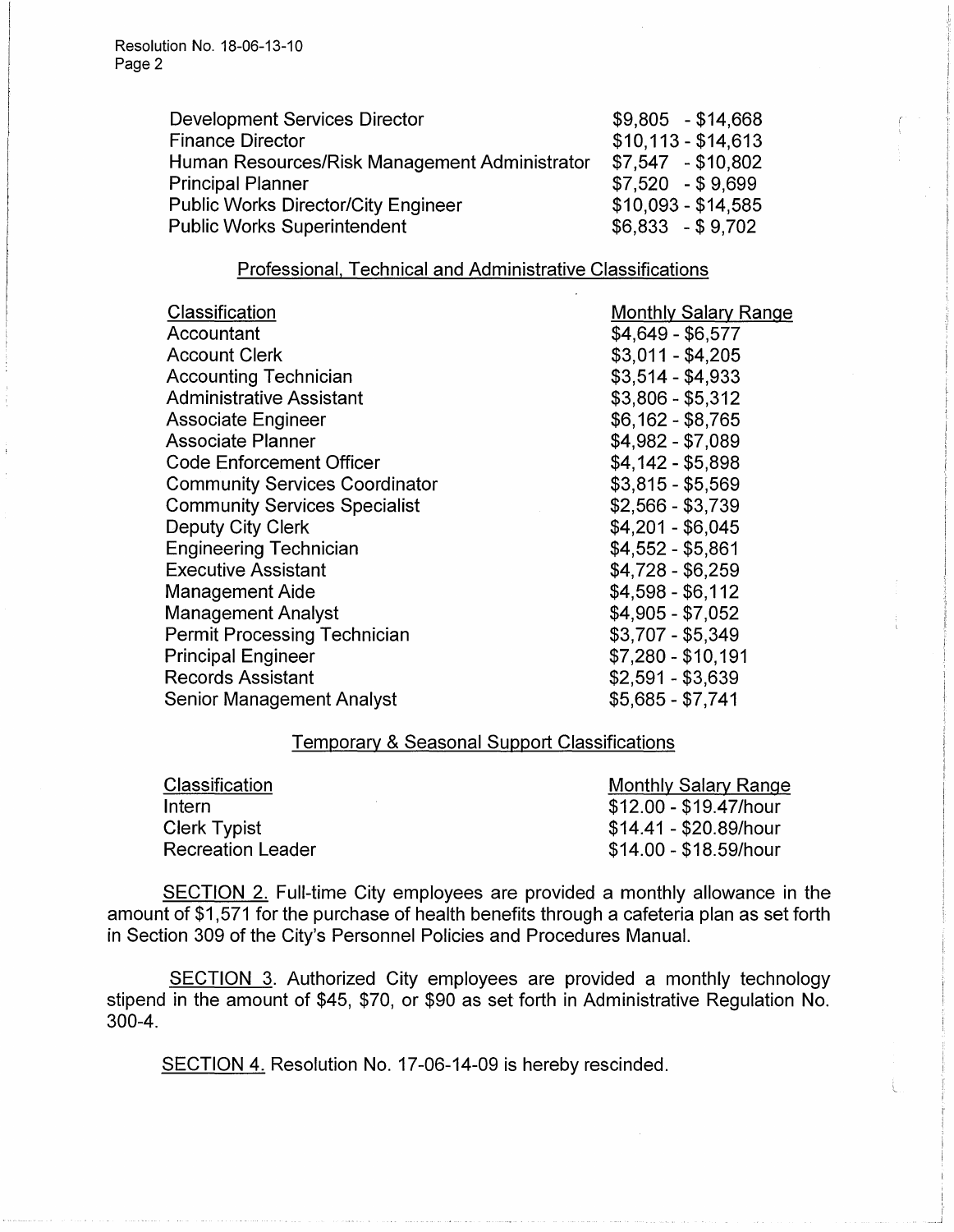Resolution No. 18-06-13-10 Page 2

| <b>Development Services Director</b>          | $$9,805$ - \$14,668 |
|-----------------------------------------------|---------------------|
| <b>Finance Director</b>                       | $$10,113 - $14,613$ |
| Human Resources/Risk Management Administrator | $$7,547$ - \$10,802 |
| <b>Principal Planner</b>                      | $$7,520$ - \$9,699  |
| <b>Public Works Director/City Engineer</b>    | $$10,093 - $14,585$ |
| <b>Public Works Superintendent</b>            | $$6,833$ - \$9,702  |

## Professional. Technical and Administrative Classifications

| Classification<br>Accountant<br><b>Account Clerk</b><br><b>Accounting Technician</b><br><b>Administrative Assistant</b><br><b>Associate Engineer</b><br>Associate Planner<br><b>Code Enforcement Officer</b><br><b>Community Services Coordinator</b><br><b>Community Services Specialist</b><br>Deputy City Clerk<br><b>Engineering Technician</b><br><b>Executive Assistant</b> | <b>Monthly Salary Range</b><br>$$4,649 - $6,577$<br>$$3,011 - $4,205$<br>$$3,514 - $4,933$<br>$$3,806 - $5,312$<br>$$6,162 - $8,765$<br>\$4,982 - \$7,089<br>$$4,142 - $5,898$<br>$$3,815 - $5,569$<br>$$2,566 - $3,739$<br>$$4,201 - $6,045$<br>$$4,552 - $5,861$<br>$$4,728 - $6,259$ |
|-----------------------------------------------------------------------------------------------------------------------------------------------------------------------------------------------------------------------------------------------------------------------------------------------------------------------------------------------------------------------------------|-----------------------------------------------------------------------------------------------------------------------------------------------------------------------------------------------------------------------------------------------------------------------------------------|
|                                                                                                                                                                                                                                                                                                                                                                                   |                                                                                                                                                                                                                                                                                         |
| <b>Management Aide</b>                                                                                                                                                                                                                                                                                                                                                            | $$4,598 - $6,112$<br>\$4,905 - \$7,052                                                                                                                                                                                                                                                  |
| <b>Management Analyst</b><br><b>Permit Processing Technician</b><br><b>Principal Engineer</b><br><b>Records Assistant</b>                                                                                                                                                                                                                                                         | \$3,707 - \$5,349<br>$$7,280 - $10,191$<br>$$2,591 - $3,639$                                                                                                                                                                                                                            |
| Senior Management Analyst                                                                                                                                                                                                                                                                                                                                                         | \$5,685 - \$7,741                                                                                                                                                                                                                                                                       |

# Temporary & Seasonal Support Classifications

| Classification    | Monthly Salary Range   |
|-------------------|------------------------|
| Intern            | \$12.00 - \$19.47/hour |
| Clerk Typist      | \$14.41 - \$20.89/hour |
| Recreation Leader | \$14.00 - \$18.59/hour |

SECTION 2. Full-time City employees are provided a monthly allowance in the amount of \$1,571 for the purchase of health benefits through a cafeteria plan as set forth in Section 309 of the City's Personnel Policies and Procedures Manual.

SECTION 3. Authorized City employees are provided a monthly technology stipend in the amount of \$45, \$70, or \$90 as set forth in Administrative Regulation No. 300-4.

SECTION 4. Resolution No. 17-06-14-09 is hereby rescinded.